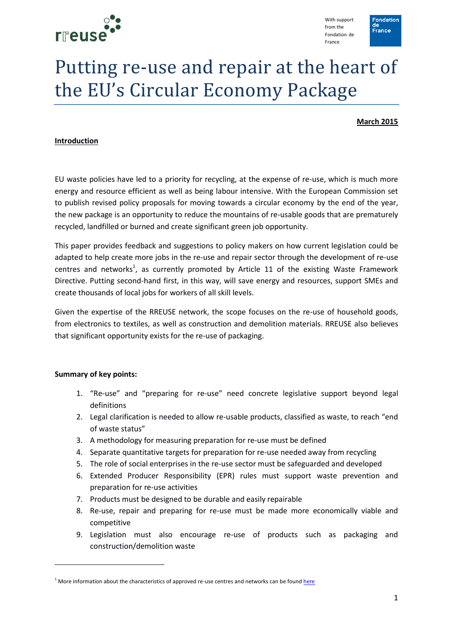

With support from the Fondation de France



# Putting re-use and repair at the heart of the EU's Circular Economy Package

**March 2015**

#### **Introduction**

EU waste policies have led to a priority for recycling, at the expense of re-use, which is much more energy and resource efficient as well as being labour intensive. With the European Commission set to publish revised policy proposals for moving towards a circular economy by the end of the year, the new package is an opportunity to reduce the mountains of re-usable goods that are prematurely recycled, landfilled or burned and create significant green job opportunity.

This paper provides feedback and suggestions to policy makers on how current legislation could be adapted to help create more jobs in the re-use and repair sector through the development of re-use centres and networks<sup>1</sup>, as currently promoted by Article 11 of the existing Waste Framework Directive. Putting second-hand first, in this way, will save energy and resources, support SMEs and create thousands of local jobs for workers of all skill levels.

Given the expertise of the RREUSE network, the scope focuses on the re-use of household goods, from electronics to textiles, as well as construction and demolition materials. RREUSE also believes that significant opportunity exists for the re-use of packaging.

#### **Summary of key points:**

 $\overline{a}$ 

- 1. "Re-use" and "preparing for re-use" need concrete legislative support beyond legal definitions
- 2. Legal clarification is needed to allow re-usable products, classified as waste, to reach "end of waste status"
- 3. A methodology for measuring preparation for re-use must be defined
- 4. Separate quantitative targets for preparation for re-use needed away from recycling
- 5. The role of social enterprises in the re-use sector must be safeguarded and developed
- 6. Extended Producer Responsibility (EPR) rules must support waste prevention and preparation for re-use activities
- 7. Products must be designed to be durable and easily repairable
- 8. Re-use, repair and preparing for re-use must be made more economically viable and competitive
- 9. Legislation must also encourage re-use of products such as packaging and construction/demolition waste

 $1$  More information about the characteristics of approved re-use centres and networks can be foun[d here](http://www.rreuse.org/wp-content/uploads/RREUSE_approved_reuse_centre_principles.pdf)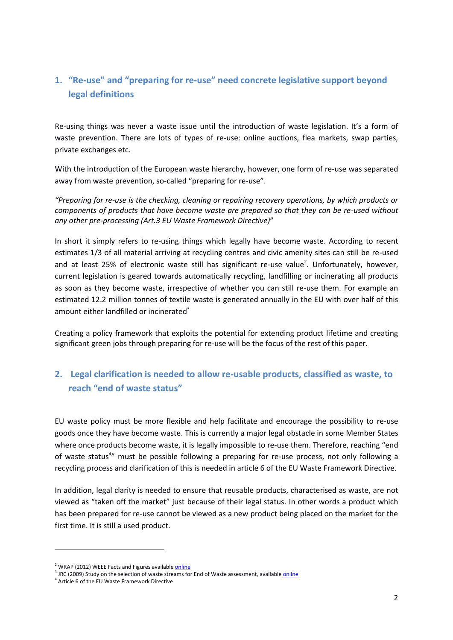# **1. "Re-use" and "preparing for re-use" need concrete legislative support beyond legal definitions**

Re-using things was never a waste issue until the introduction of waste legislation. It's a form of waste prevention. There are lots of types of re-use: online auctions, flea markets, swap parties, private exchanges etc.

With the introduction of the European waste hierarchy, however, one form of re-use was separated away from waste prevention, so-called "preparing for re-use".

*"Preparing for re-use is the checking, cleaning or repairing recovery operations, by which products or components of products that have become waste are prepared so that they can be re-used without any other pre-processing (Art.3 EU Waste Framework Directive)*"

In short it simply refers to re-using things which legally have become waste. According to recent estimates 1/3 of all material arriving at recycling centres and civic amenity sites can still be re-used and at least 25% of electronic waste still has significant re-use value<sup>2</sup>. Unfortunately, however, current legislation is geared towards automatically recycling, landfilling or incinerating all products as soon as they become waste, irrespective of whether you can still re-use them. For example an estimated 12.2 million tonnes of textile waste is generated annually in the EU with over half of this amount either landfilled or incinerated $3$ 

Creating a policy framework that exploits the potential for extending product lifetime and creating significant green jobs through preparing for re-use will be the focus of the rest of this paper.

# **2. Legal clarification is needed to allow re-usable products, classified as waste, to reach "end of waste status"**

EU waste policy must be more flexible and help facilitate and encourage the possibility to re-use goods once they have become waste. This is currently a major legal obstacle in some Member States where once products become waste, it is legally impossible to re-use them. Therefore, reaching "end of waste status<sup>4</sup>" must be possible following a preparing for re-use process, not only following a recycling process and clarification of this is needed in article 6 of the EU Waste Framework Directive.

In addition, legal clarity is needed to ensure that reusable products, characterised as waste, are not viewed as "taken off the market" just because of their legal status. In other words a product which has been prepared for re-use cannot be viewed as a new product being placed on the market for the first time. It is still a used product.

**.** 

<sup>&</sup>lt;sup>2</sup> WRAP (2012) WEEE Facts and Figures available **online** 

<sup>&</sup>lt;sup>3</sup> JRC (2009) Study on the selection of waste streams for End of Waste assessment, available *online* 

<sup>4</sup> Article 6 of the EU Waste Framework Directive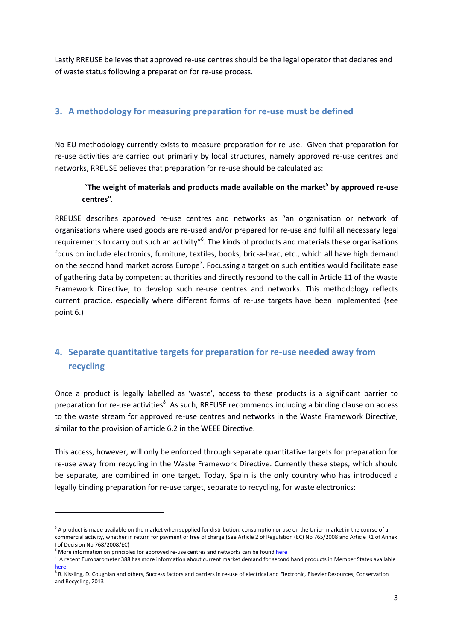Lastly RREUSE believes that approved re-use centres should be the legal operator that declares end of waste status following a preparation for re-use process.

#### **3. A methodology for measuring preparation for re-use must be defined**

No EU methodology currently exists to measure preparation for re-use. Given that preparation for re-use activities are carried out primarily by local structures, namely approved re-use centres and networks, RREUSE believes that preparation for re-use should be calculated as:

#### "**The weight of materials and products made available on the market<sup>5</sup> by approved re-use centres"***.*

RREUSE describes approved re-use centres and networks as "an organisation or network of organisations where used goods are re-used and/or prepared for re-use and fulfil all necessary legal requirements to carry out such an activity"<sup>6</sup>. The kinds of products and materials these organisations focus on include electronics, furniture, textiles, books, bric-a-brac, etc., which all have high demand on the second hand market across Europe<sup>7</sup>. Focussing a target on such entities would facilitate ease of gathering data by competent authorities and directly respond to the call in Article 11 of the Waste Framework Directive, to develop such re-use centres and networks. This methodology reflects current practice, especially where different forms of re-use targets have been implemented (see point 6.)

# **4. Separate quantitative targets for preparation for re-use needed away from recycling**

Once a product is legally labelled as 'waste', access to these products is a significant barrier to preparation for re-use activities<sup>8</sup>. As such, RREUSE recommends including a binding clause on access to the waste stream for approved re-use centres and networks in the Waste Framework Directive, similar to the provision of article 6.2 in the WEEE Directive.

This access, however, will only be enforced through separate quantitative targets for preparation for re-use away from recycling in the Waste Framework Directive. Currently these steps, which should be separate, are combined in one target. Today, Spain is the only country who has introduced a legally binding preparation for re-use target, separate to recycling, for waste electronics:

1

<sup>&</sup>lt;sup>5</sup> A product is made available on the market when supplied for distribution, consumption or use on the Union market in the course of a commercial activity, whether in return for payment or free of charge (See Article 2 of Regulation (EC) No 765/2008 and Article R1 of Annex I of Decision No 768/2008/EC)

 $6$  More information on principles for approved re-use centres and networks can be found [here](http://www.rreuse.org/t3/fileadmin/editor-mount/documents/300/RREUSE_approved_re-use_centre_principles_Final_3.pdf)

 $^7$  A recent Eurobarometer 388 has more information about current market demand for second hand products in Member States available

<sup>&</sup>lt;u>[here](http://ec.europa.eu/public_opinion/archives/flash_arch_390_375_en.htm)</u><br><sup>8</sup> R. Kissling, D. Coughlan and others, Success factors and barriers in re-use of electrical and Electronic, Elsevier Resources, Conservation and Recycling, 2013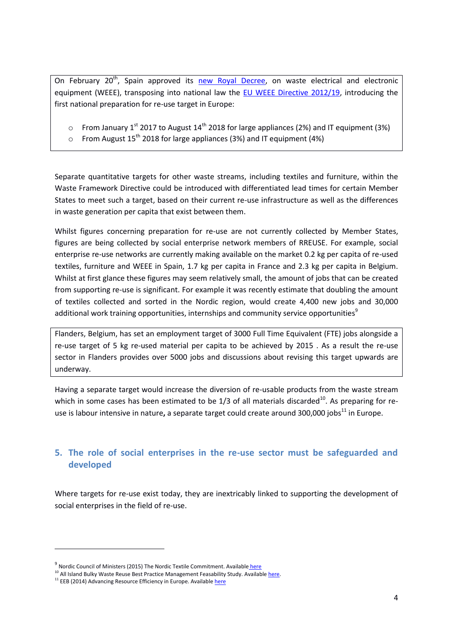On February 20<sup>th</sup>, Spain approved its [new Royal Decree,](http://www.boe.es/boe/dias/2015/02/21/pdfs/BOE-A-2015-1762.pdf) on waste electrical and electronic equipment (WEEE), transposing into national law the [EU WEEE Directive 2012/19,](http://eur-lex.europa.eu/LexUriServ/LexUriServ.do?uri=OJ:L:2012:197:0038:0071:en:PDF) introducing the first national preparation for re-use target in Europe:

- $\circ$  From January 1<sup>st</sup> 2017 to August 14<sup>th</sup> 2018 for large appliances (2%) and IT equipment (3%)
- $\circ$  From August 15<sup>th</sup> 2018 for large appliances (3%) and IT equipment (4%)

Separate quantitative targets for other waste streams, including textiles and furniture, within the Waste Framework Directive could be introduced with differentiated lead times for certain Member States to meet such a target, based on their current re-use infrastructure as well as the differences in waste generation per capita that exist between them.

Whilst figures concerning preparation for re-use are not currently collected by Member States, figures are being collected by social enterprise network members of RREUSE. For example, social enterprise re-use networks are currently making available on the market 0.2 kg per capita of re-used textiles, furniture and WEEE in Spain, 1.7 kg per capita in France and 2.3 kg per capita in Belgium. Whilst at first glance these figures may seem relatively small, the amount of jobs that can be created from supporting re-use is significant. For example it was recently estimate that doubling the amount of textiles collected and sorted in the Nordic region, would create 4,400 new jobs and 30,000 additional work training opportunities, internships and community service opportunities<sup>9</sup>

Flanders, Belgium, has set an employment target of 3000 Full Time Equivalent (FTE) jobs alongside a re-use target of 5 kg re-used material per capita to be achieved by 2015 . As a result the re-use sector in Flanders provides over 5000 jobs and discussions about revising this target upwards are underway.

Having a separate target would increase the diversion of re-usable products from the waste stream which in some cases has been estimated to be  $1/3$  of all materials discarded<sup>10</sup>. As preparing for reuse is labour intensive in nature, a separate target could create around 300,000 jobs<sup>11</sup> in Europe.

#### **5. The role of social enterprises in the re-use sector must be safeguarded and developed**

Where targets for re-use exist today, they are inextricably linked to supporting the development of social enterprises in the field of re-use.

1

<sup>&</sup>lt;sup>9</sup> Nordic Council of Ministers (2015) The Nordic Textile Commitment. Available <u>[here](http://www.norden.org/en/news-and-events/news/more-recycling-and-reuse-of-textiles-in-the-nordics-benefits-the-environment-and-the-economy)</u>

<sup>10</sup> All Island Bulky Waste Reuse Best Practice Management Feasability Study. Availabl[e here.](http://www.rx3.ie/MDGUploadedFiles/file/rx3publications/Bulky_Waste_Reuse_Study_website.pdf)

 $11$  EEB (2014) Advancing Resource Efficiency in Europe. Availabl[e here](http://www.eeb.org/EEB/?LinkServID=4E9BB68D-5056-B741-DBCCE36ABD15F02F)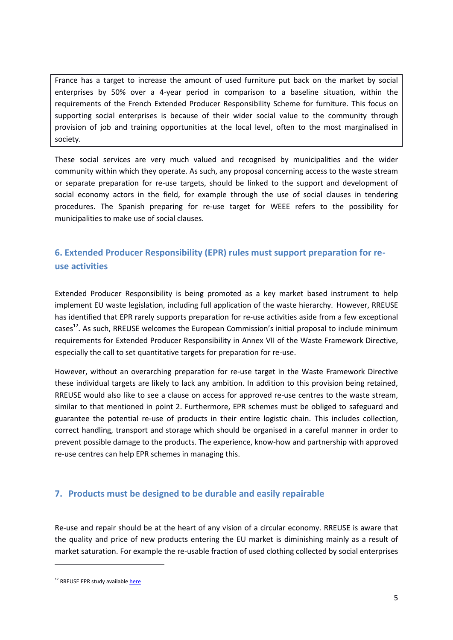France has a target to increase the amount of used furniture put back on the market by social enterprises by 50% over a 4-year period in comparison to a baseline situation, within the requirements of the French Extended Producer Responsibility Scheme for furniture. This focus on supporting social enterprises is because of their wider social value to the community through provision of job and training opportunities at the local level, often to the most marginalised in society.

These social services are very much valued and recognised by municipalities and the wider community within which they operate. As such, any proposal concerning access to the waste stream or separate preparation for re-use targets, should be linked to the support and development of social economy actors in the field, for example through the use of social clauses in tendering procedures. The Spanish preparing for re-use target for WEEE refers to the possibility for municipalities to make use of social clauses.

## **6. Extended Producer Responsibility (EPR) rules must support preparation for reuse activities**

Extended Producer Responsibility is being promoted as a key market based instrument to help implement EU waste legislation, including full application of the waste hierarchy. However, RREUSE has identified that EPR rarely supports preparation for re-use activities aside from a few exceptional cases<sup>12</sup>. As such, RREUSE welcomes the European Commission's initial proposal to include minimum requirements for Extended Producer Responsibility in Annex VII of the Waste Framework Directive, especially the call to set quantitative targets for preparation for re-use.

However, without an overarching preparation for re-use target in the Waste Framework Directive these individual targets are likely to lack any ambition. In addition to this provision being retained, RREUSE would also like to see a clause on access for approved re-use centres to the waste stream, similar to that mentioned in point 2. Furthermore, EPR schemes must be obliged to safeguard and guarantee the potential re-use of products in their entire logistic chain. This includes collection, correct handling, transport and storage which should be organised in a careful manner in order to prevent possible damage to the products. The experience, know-how and partnership with approved re-use centres can help EPR schemes in managing this.

#### **7. Products must be designed to be durable and easily repairable**

Re-use and repair should be at the heart of any vision of a circular economy. RREUSE is aware that the quality and price of new products entering the EU market is diminishing mainly as a result of market saturation. For example the re-usable fraction of used clothing collected by social enterprises

 $\overline{a}$ 

<sup>&</sup>lt;sup>12</sup> RREUSE EPR study availabl[e here](http://www.rreuse.org/t3/fileadmin/editor-mount/documents/200/EPR_and_product_reuse.pdf)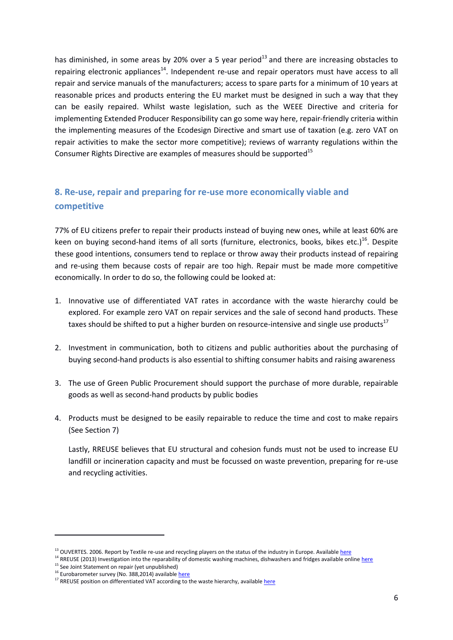has diminished, in some areas by 20% over a 5 year period $^{13}$  and there are increasing obstacles to repairing electronic appliances<sup>14</sup>. Independent re-use and repair operators must have access to all repair and service manuals of the manufacturers; access to spare parts for a minimum of 10 years at reasonable prices and products entering the EU market must be designed in such a way that they can be easily repaired. Whilst waste legislation, such as the WEEE Directive and criteria for implementing Extended Producer Responsibility can go some way here, repair-friendly criteria within the implementing measures of the Ecodesign Directive and smart use of taxation (e.g. zero VAT on repair activities to make the sector more competitive); reviews of warranty regulations within the Consumer Rights Directive are examples of measures should be supported $15$ 

# **8. Re-use, repair and preparing for re-use more economically viable and competitive**

77% of EU citizens prefer to repair their products instead of buying new ones, while at least 60% are keen on buying second-hand items of all sorts (furniture, electronics, books, bikes etc.)<sup>16</sup>. Despite these good intentions, consumers tend to replace or throw away their products instead of repairing and re-using them because costs of repair are too high. Repair must be made more competitive economically. In order to do so, the following could be looked at:

- 1. Innovative use of differentiated VAT rates in accordance with the waste hierarchy could be explored. For example zero VAT on repair services and the sale of second hand products. These taxes should be shifted to put a higher burden on resource-intensive and single use products $17$
- 2. Investment in communication, both to citizens and public authorities about the purchasing of buying second-hand products is also essential to shifting consumer habits and raising awareness
- 3. The use of Green Public Procurement should support the purchase of more durable, repairable goods as well as second-hand products by public bodies
- 4. Products must be designed to be easily repairable to reduce the time and cost to make repairs (See Section 7)

Lastly, RREUSE believes that EU structural and cohesion funds must not be used to increase EU landfill or incineration capacity and must be focussed on waste prevention, preparing for re-use and recycling activities.

1

<sup>&</sup>lt;sup>13</sup> OUVERTES. 2006. Report by Textile re-use and recycling players on the status of the industry in Europe. Availabl[e here](http://www.textile-recycling.org.uk/Report_Ouvertes_Project_June2005%5B1%5D.pdf.)

<sup>&</sup>lt;sup>14</sup> RREUSE (2013) Investigation into the reparability of domestic washing machines, dishwashers and fridges available onlin[e here](http://www.rreuse.org/t3/fileadmin/editor-mount/documents/200/RREUSE_Case_Studies_on_reparability_-_Final.pdf)

<sup>&</sup>lt;sup>15</sup> See Joint Statement on repair (yet unpublished)

<sup>&</sup>lt;sup>16</sup> Eurobarometer survey (No. 388,2014) availabl[e here](http://ec.europa.eu/public_opinion/archives/flash_arch_390_375_en.htm)

<sup>&</sup>lt;sup>17</sup> RREUSE position on differentiated VAT according to the waste hierarchy, availabl[e here](http://www.rreuse.org/t3/fileadmin/editor-mount/documents/200/RREUSE_position_-_reduced_VAT_2.pdf)